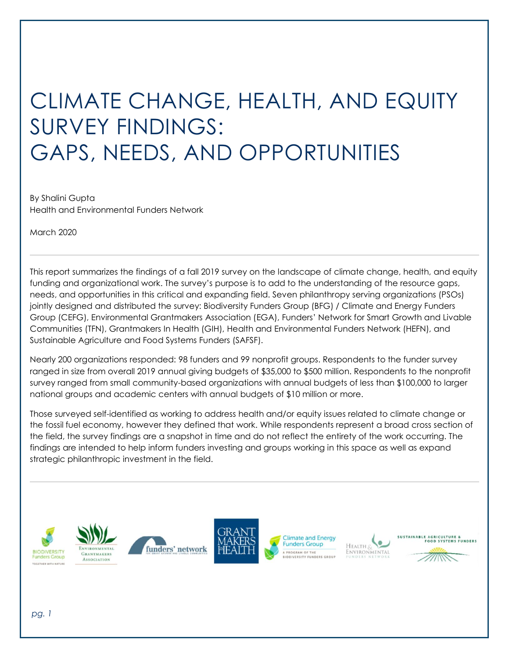# CLIMATE CHANGE, HEALTH, AND EQUITY SURVEY FINDINGS: GAPS, NEEDS, AND OPPORTUNITIES

By Shalini Gupta Health and Environmental Funders Network

March 2020

This report summarizes the findings of a fall 2019 survey on the landscape of climate change, health, and equity funding and organizational work. The survey's purpose is to add to the understanding of the resource gaps, needs, and opportunities in this critical and expanding field. Seven philanthropy serving organizations (PSOs) jointly designed and distributed the survey: Biodiversity Funders Group (BFG) / Climate and Energy Funders Group (CEFG), Environmental Grantmakers Association (EGA), Funders' Network for Smart Growth and Livable Communities (TFN), Grantmakers In Health (GIH), Health and Environmental Funders Network (HEFN), and Sustainable Agriculture and Food Systems Funders (SAFSF).

Nearly 200 organizations responded: 98 funders and 99 nonprofit groups. Respondents to the funder survey ranged in size from overall 2019 annual giving budgets of \$35,000 to \$500 million. Respondents to the nonprofit survey ranged from small community-based organizations with annual budgets of less than \$100,000 to larger national groups and academic centers with annual budgets of \$10 million or more.

Those surveyed self-identified as working to address health and/or equity issues related to climate change or the fossil fuel economy, however they defined that work. While respondents represent a broad cross section of the field, the survey findings are a snapshot in time and do not reflect the entirety of the work occurring. The findings are intended to help inform funders investing and groups working in this space as well as expand strategic philanthropic investment in the field.











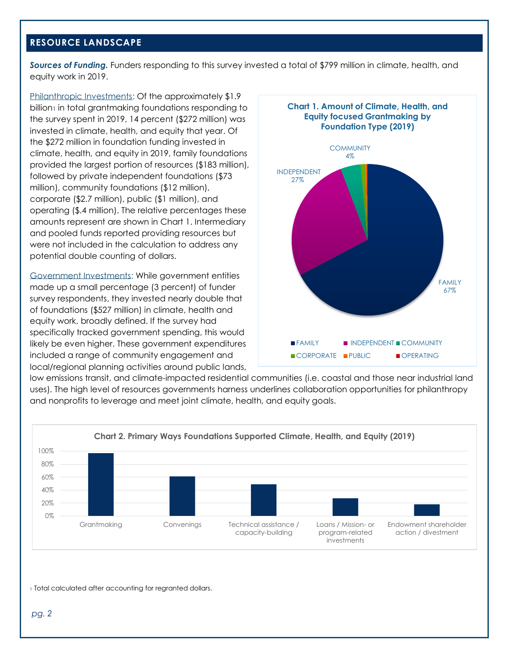# **RESOURCE LANDSCAPE**

*Sources of Funding.* Funders responding to this survey invested a total of \$799 million in climate, health, and equity work in 2019.

Philanthropic Investments: Of the approximately \$1.9 billion<sub>1</sub> in total grantmaking foundations responding to the survey spent in 2019, 14 percent (\$272 million) was invested in climate, health, and equity that year. Of the \$272 million in foundation funding invested in climate, health, and equity in 2019, family foundations provided the largest portion of resources (\$183 million), followed by private independent foundations (\$73 million), community foundations (\$12 million), corporate (\$2.7 million), public (\$1 million), and operating (\$.4 million). The relative percentages these amounts represent are shown in Chart 1. Intermediary and pooled funds reported providing resources but were not included in the calculation to address any potential double counting of dollars.

Government Investments: While government entities made up a small percentage (3 percent) of funder survey respondents, they invested nearly double that of foundations (\$527 million) in climate, health and equity work, broadly defined. If the survey had specifically tracked government spending, this would likely be even higher. These government expenditures included a range of community engagement and local/regional planning activities around public lands,



low emissions transit, and climate-impacted residential communities (i.e. coastal and those near industrial land uses). The high level of resources governments harness underlines collaboration opportunities for philanthropy and nonprofits to leverage and meet joint climate, health, and equity goals.



1 Total calculated after accounting for regranted dollars.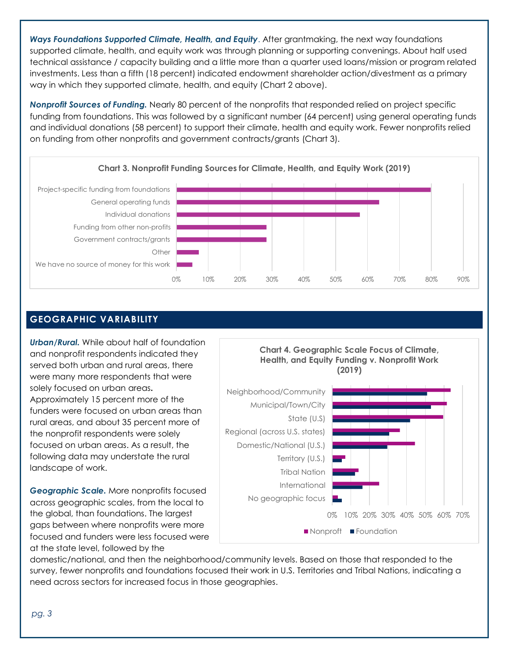*Ways Foundations Supported Climate, Health, and Equity*. After grantmaking, the next way foundations supported climate, health, and equity work was through planning or supporting convenings. About half used technical assistance / capacity building and a little more than a quarter used loans/mission or program related investments. Less than a fifth (18 percent) indicated endowment shareholder action/divestment as a primary way in which they supported climate, health, and equity (Chart 2 above).

*Nonprofit Sources of Funding.* Nearly 80 percent of the nonprofits that responded relied on project specific funding from foundations. This was followed by a significant number (64 percent) using general operating funds and individual donations (58 percent) to support their climate, health and equity work. Fewer nonprofits relied on funding from other nonprofits and government contracts/grants (Chart 3).



# **GEOGRAPHIC VARIABILITY**

*Urban/Rural.* While about half of foundation and nonprofit respondents indicated they served both urban and rural areas, there were many more respondents that were solely focused on urban areas**.** Approximately 15 percent more of the funders were focused on urban areas than rural areas, and about 35 percent more of the nonprofit respondents were solely focused on urban areas. As a result, the following data may understate the rural landscape of work.

*Geographic Scale.* More nonprofits focused across geographic scales, from the local to the global, than foundations. The largest gaps between where nonprofits were more focused and funders were less focused were at the state level, followed by the



domestic/national, and then the neighborhood/community levels. Based on those that responded to the survey, fewer nonprofits and foundations focused their work in U.S. Territories and Tribal Nations, indicating a need across sectors for increased focus in those geographies.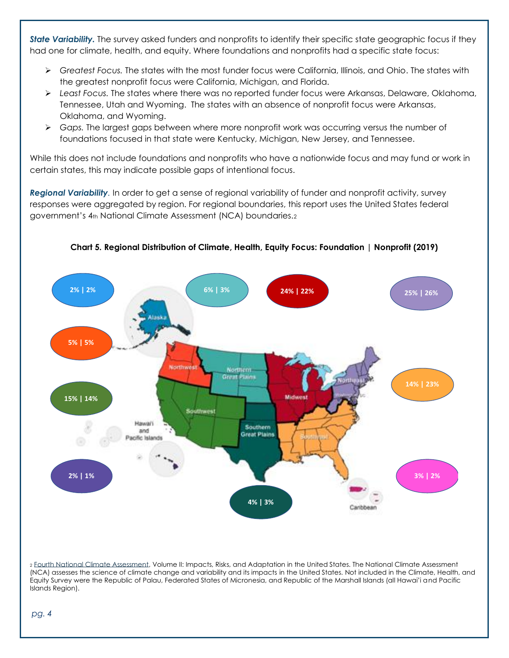*State Variability.* The survey asked funders and nonprofits to identify their specific state geographic focus if they had one for climate, health, and equity. Where foundations and nonprofits had a specific state focus:

- ➢ *Greatest Focus.* The states with the most funder focus were California, Illinois, and Ohio. The states with the greatest nonprofit focus were California, Michigan, and Florida.
- ➢ *Least Focus.* The states where there was no reported funder focus were Arkansas, Delaware, Oklahoma, Tennessee, Utah and Wyoming. The states with an absence of nonprofit focus were Arkansas, Oklahoma, and Wyoming.
- ➢ *Gaps.* The largest gaps between where more nonprofit work was occurring versus the number of foundations focused in that state were Kentucky, Michigan, New Jersey, and Tennessee.

While this does not include foundations and nonprofits who have a nationwide focus and may fund or work in certain states, this may indicate possible gaps of intentional focus.

*Regional Variability.* In order to get a sense of regional variability of funder and nonprofit activity, survey responses were aggregated by region. For regional boundaries, this report uses the United States federal government's 4th National Climate Assessment (NCA) boundaries.2



**Chart 5. Regional Distribution of Climate, Health, Equity Focus: Foundation | Nonprofit (2019)**

<sup>2</sup> [Fourth National Climate Assessment,](https://nca2018.globalchange.gov/) Volume II: Impacts, Risks, and Adaptation in the United States. The National Climate Assessment (NCA) assesses the science of climate change and variability and its impacts in the United States. Not included in the Climate, Health, and Equity Survey were the Republic of Palau, Federated States of Micronesia, and Republic of the Marshall Islands (all Hawai'i and Pacific Islands Region).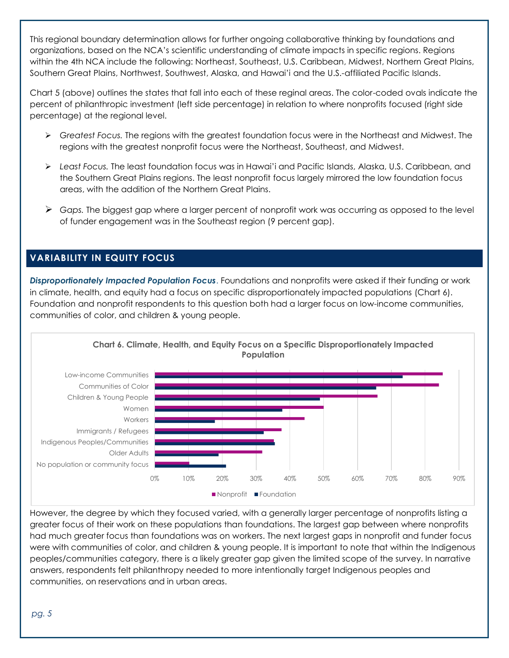This regional boundary determination allows for further ongoing collaborative thinking by foundations and organizations, based on the NCA's scientific understanding of climate impacts in specific regions. Regions within the 4th NCA include the following: Northeast, Southeast, U.S. Caribbean, Midwest, Northern Great Plains, Southern Great Plains, Northwest, Southwest, Alaska, and Hawai'i and the U.S.-affiliated Pacific Islands.

Chart 5 (above) outlines the states that fall into each of these reginal areas. The color-coded ovals indicate the percent of philanthropic investment (left side percentage) in relation to where nonprofits focused (right side percentage) at the regional level.

- ➢ *Greatest Focus.* The regions with the greatest foundation focus were in the Northeast and Midwest. The regions with the greatest nonprofit focus were the Northeast, Southeast, and Midwest.
- ➢ *Least Focus.* The least foundation focus was in Hawai'i and Pacific Islands, Alaska, U.S. Caribbean, and the Southern Great Plains regions. The least nonprofit focus largely mirrored the low foundation focus areas, with the addition of the Northern Great Plains.
- ➢ *Gaps.* The biggest gap where a larger percent of nonprofit work was occurring as opposed to the level of funder engagement was in the Southeast region (9 percent gap).

# **VARIABILITY IN EQUITY FOCUS**

*Disproportionately Impacted Population Focus*. Foundations and nonprofits were asked if their funding or work in climate, health, and equity had a focus on specific disproportionately impacted populations (Chart 6). Foundation and nonprofit respondents to this question both had a larger focus on low-income communities, communities of color, and children & young people.



However, the degree by which they focused varied, with a generally larger percentage of nonprofits listing a greater focus of their work on these populations than foundations. The largest gap between where nonprofits had much greater focus than foundations was on workers. The next largest gaps in nonprofit and funder focus were with communities of color, and children & young people. It is important to note that within the Indigenous peoples/communities category, there is a likely greater gap given the limited scope of the survey. In narrative answers, respondents felt philanthropy needed to more intentionally target Indigenous peoples and communities, on reservations and in urban areas.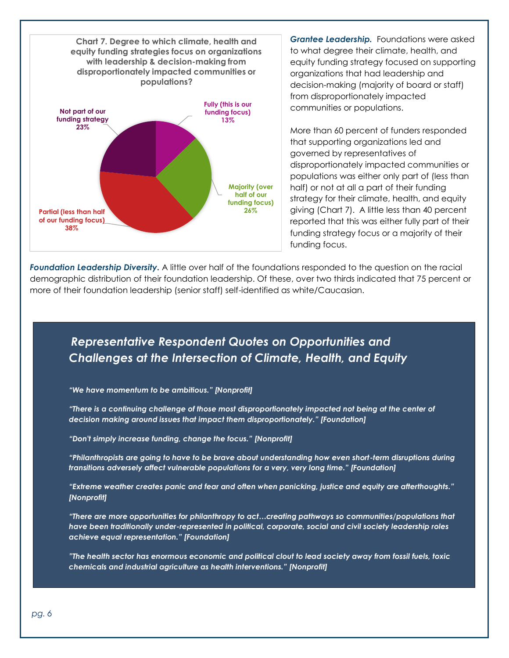

*Grantee Leadership.* Foundations were asked to what degree their climate, health, and equity funding strategy focused on supporting organizations that had leadership and decision-making (majority of board or staff) from disproportionately impacted communities or populations.

More than 60 percent of funders responded that supporting organizations led and governed by representatives of disproportionately impacted communities or populations was either only part of (less than half) or not at all a part of their funding strategy for their climate, health, and equity giving (Chart 7). A little less than 40 percent reported that this was either fully part of their funding strategy focus or a majority of their funding focus.

*Foundation Leadership Diversity.* A little over half of the foundations responded to the question on the racial demographic distribution of their foundation leadership. Of these, over two thirds indicated that 75 percent or more of their foundation leadership (senior staff) self-identified as white/Caucasian.

# *Representative Respondent Quotes on Opportunities and Challenges at the Intersection of Climate, Health, and Equity*

*"We have momentum to be ambitious." [Nonprofit]*

*"There is a continuing challenge of those most disproportionately impacted not being at the center of decision making around issues that impact them disproportionately." [Foundation]*

*"Don't simply increase funding, change the focus." [Nonprofit]*

*"Philanthropists are going to have to be brave about understanding how even short-term disruptions during transitions adversely affect vulnerable populations for a very, very long time." [Foundation]*

*"Extreme weather creates panic and fear and often when panicking, justice and equity are afterthoughts." [Nonprofit]*

*"There are more opportunities for philanthropy to act…creating pathways so communities/populations that have been traditionally under-represented in political, corporate, social and civil society leadership roles achieve equal representation." [Foundation]*

*"The health sector has enormous economic and political clout to lead society away from fossil fuels, toxic chemicals and industrial agriculture as health interventions." [Nonprofit]*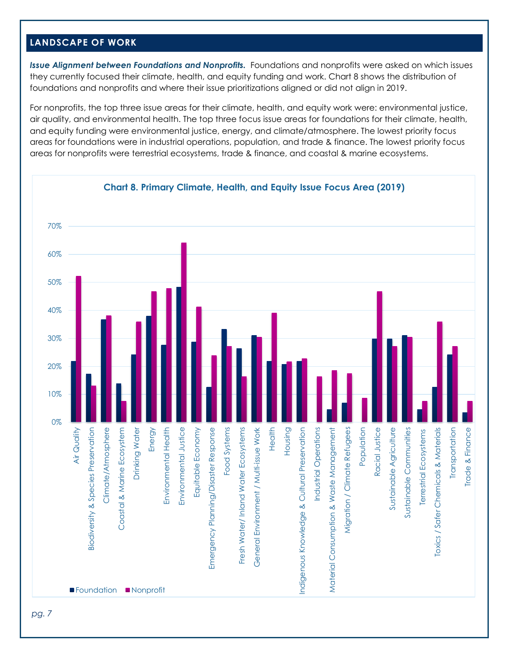# **LANDSCAPE OF WORK**

*Issue Alignment between Foundations and Nonprofits.* Foundations and nonprofits were asked on which issues they currently focused their climate, health, and equity funding and work. Chart 8 shows the distribution of foundations and nonprofits and where their issue prioritizations aligned or did not align in 2019.

For nonprofits, the top three issue areas for their climate, health, and equity work were: environmental justice, air quality, and environmental health. The top three focus issue areas for foundations for their climate, health, and equity funding were environmental justice, energy, and climate/atmosphere. The lowest priority focus areas for foundations were in industrial operations, population, and trade & finance. The lowest priority focus areas for nonprofits were terrestrial ecosystems, trade & finance, and coastal & marine ecosystems.

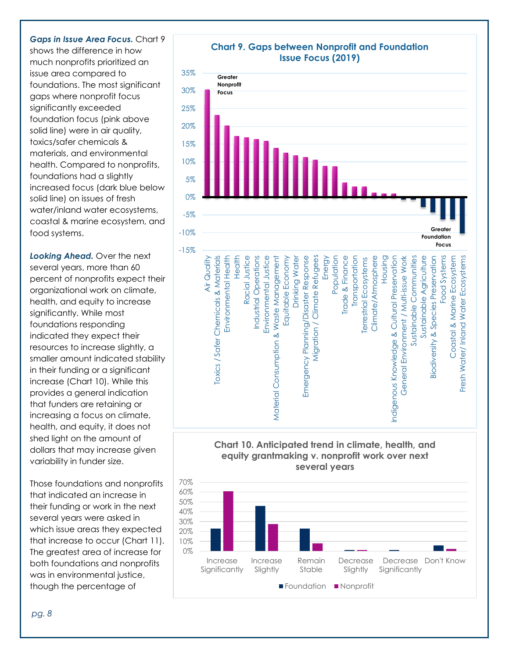#### *Gaps in Issue Area Focus.* Chart 9

shows the difference in how much nonprofits prioritized an issue area compared to foundations. The most significant gaps where nonprofit focus significantly exceeded foundation focus (pink above solid line) were in air quality, toxics/safer chemicals & materials, and environmental health. Compared to nonprofits, foundations had a slightly increased focus (dark blue below solid line) on issues of fresh water/inland water ecosystems, coastal & marine ecosystem, and food systems.

**Looking Ahead.** Over the next several years, more than 60 percent of nonprofits expect their organizational work on climate, health, and equity to increase significantly. While most foundations responding indicated they expect their resources to increase slightly, a smaller amount indicated stability in their funding or a significant increase (Chart 10). While this provides a general indication that funders are retaining or increasing a focus on climate, health, and equity, it does not shed light on the amount of dollars that may increase given variability in funder size.

Those foundations and nonprofits that indicated an increase in their funding or work in the next several years were asked in which issue areas they expected that increase to occur (Chart 11). The greatest area of increase for both foundations and nonprofits was in environmental justice, though the percentage of



# **Chart 9. Gaps between Nonprofit and Foundation**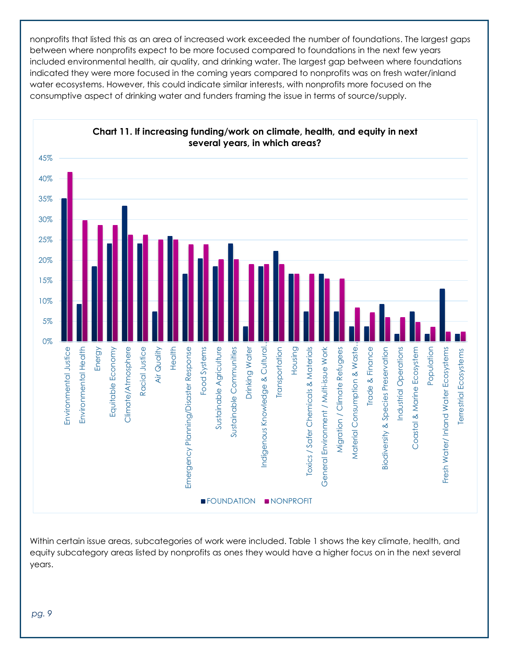nonprofits that listed this as an area of increased work exceeded the number of foundations. The largest gaps between where nonprofits expect to be more focused compared to foundations in the next few years included environmental health, air quality, and drinking water. The largest gap between where foundations indicated they were more focused in the coming years compared to nonprofits was on fresh water/inland water ecosystems. However, this could indicate similar interests, with nonprofits more focused on the consumptive aspect of drinking water and funders framing the issue in terms of source/supply.



Within certain issue areas, subcategories of work were included. Table 1 shows the key climate, health, and equity subcategory areas listed by nonprofits as ones they would have a higher focus on in the next several years.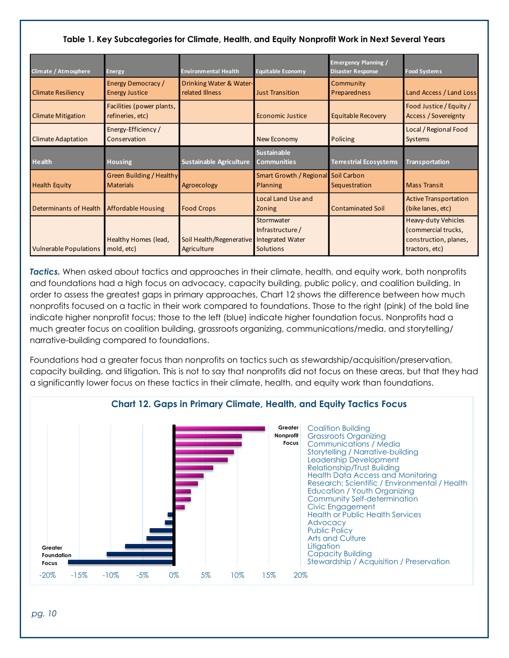## **Table 1. Key Subcategories for Climate, Health, and Equity Nonprofit Work in Next Several Years**

| Climate / Atmosphere          | <b>Energy</b>                                       | <b>Environmental Health</b>                              | <b>Equitable Economy</b>                          | <b>Emergency Planning /</b><br><b>Disaster Response</b> | <b>Food Systems</b>                                                                          |
|-------------------------------|-----------------------------------------------------|----------------------------------------------------------|---------------------------------------------------|---------------------------------------------------------|----------------------------------------------------------------------------------------------|
| <b>Climate Resiliency</b>     | Energy Democracy /<br><b>Energy Justice</b>         | Drinking Water & Water-<br>related Illness               | <b>Just Transition</b>                            | Community<br>Preparedness                               | Land Access / Land Loss                                                                      |
| <b>Climate Mitigation</b>     | Facilities (power plants,<br>refineries, etc)       |                                                          | <b>Economic Justice</b>                           | <b>Equitable Recovery</b>                               | Food Justice / Equity /<br><b>Access / Sovereignty</b>                                       |
| <b>Climate Adaptation</b>     | Energy-Efficiency/<br>Conservation                  |                                                          | New Economy                                       | Policing                                                | Local / Regional Food<br>Systems                                                             |
| <b>Health</b>                 | Housing                                             | Sustainable Agriculture                                  | <b>Sustainable</b><br><b>Communities</b>          | <b>Terrestrial Ecosystems</b>                           | <b>Transportation</b>                                                                        |
| <b>Health Equity</b>          | <b>Green Building / Healthy</b><br><b>Materials</b> | Agroecology                                              | Smart Growth / Regional Soil Carbon<br>Planning   | Sequestration                                           | <b>Mass Transit</b>                                                                          |
| <b>Determinants of Health</b> | <b>Affordable Housing</b>                           | <b>Food Crops</b>                                        | <b>Local Land Use and</b><br>Zoning               | <b>Contaminated Soil</b>                                | <b>Active Transportation</b><br>(bike lanes, etc)                                            |
| <b>Vulnerable Populations</b> | Healthy Homes (lead,<br>mold, etc)                  | Soil Health/Regenerative Integrated Water<br>Agriculture | Stormwater<br>Infrastructure/<br><b>Solutions</b> |                                                         | <b>Heavy-duty Vehicles</b><br>(commercial trucks,<br>construction, planes,<br>tractors, etc) |

*Tactics.* When asked about tactics and approaches in their climate, health, and equity work, both nonprofits and foundations had a high focus on advocacy, capacity building, public policy, and coalition building. In order to assess the greatest gaps in primary approaches, Chart 12 shows the difference between how much nonprofits focused on a tactic in their work compared to foundations. Those to the right (pink) of the bold line indicate higher nonprofit focus; those to the left (blue) indicate higher foundation focus. Nonprofits had a much greater focus on coalition building, grassroots organizing, communications/media, and storytelling/ narrative-building compared to foundations.

Foundations had a greater focus than nonprofits on tactics such as stewardship/acquisition/preservation, capacity building, and litigation. This is not to say that nonprofits did not focus on these areas, but that they had a significantly lower focus on these tactics in their climate, health, and equity work than foundations.



## **Chart 12. Gaps in Primary Climate, Health, and Equity Tactics Focus**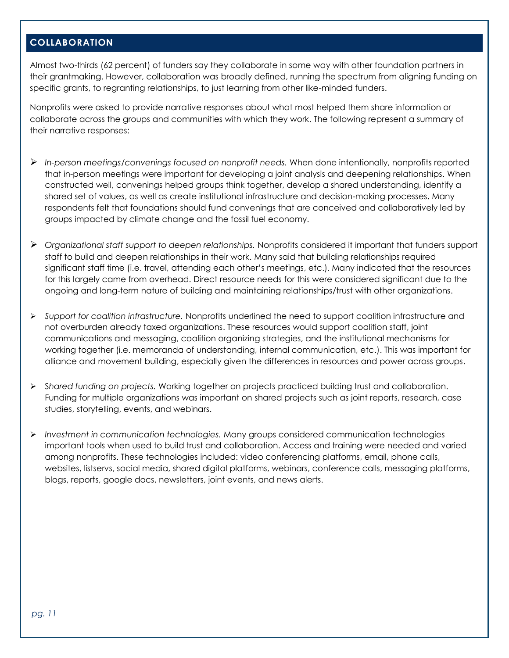# **COLLABORATION**

Almost two-thirds (62 percent) of funders say they collaborate in some way with other foundation partners in their grantmaking. However, collaboration was broadly defined, running the spectrum from aligning funding on specific grants, to regranting relationships, to just learning from other like-minded funders.

Nonprofits were asked to provide narrative responses about what most helped them share information or collaborate across the groups and communities with which they work. The following represent a summary of their narrative responses:

- ➢ *In-person meetings/convenings focused on nonprofit needs.* When done intentionally, nonprofits reported that in-person meetings were important for developing a joint analysis and deepening relationships. When constructed well, convenings helped groups think together, develop a shared understanding, identify a shared set of values, as well as create institutional infrastructure and decision-making processes. Many respondents felt that foundations should fund convenings that are conceived and collaboratively led by groups impacted by climate change and the fossil fuel economy.
- ➢ *Organizational staff support to deepen relationships.* Nonprofits considered it important that funders support staff to build and deepen relationships in their work. Many said that building relationships required significant staff time (i.e. travel, attending each other's meetings, etc.). Many indicated that the resources for this largely came from overhead. Direct resource needs for this were considered significant due to the ongoing and long-term nature of building and maintaining relationships/trust with other organizations.
- ➢ *Support for coalition infrastructure.* Nonprofits underlined the need to support coalition infrastructure and not overburden already taxed organizations. These resources would support coalition staff, joint communications and messaging, coalition organizing strategies, and the institutional mechanisms for working together (i.e. memoranda of understanding, internal communication, etc.). This was important for alliance and movement building, especially given the differences in resources and power across groups.
- ➢ S*hared funding on projects.* Working together on projects practiced building trust and collaboration. Funding for multiple organizations was important on shared projects such as joint reports, research, case studies, storytelling, events, and webinars.
- ➢ *Investment in communication technologies.* Many groups considered communication technologies important tools when used to build trust and collaboration. Access and training were needed and varied among nonprofits. These technologies included: video conferencing platforms, email, phone calls, websites, listservs, social media, shared digital platforms, webinars, conference calls, messaging platforms, blogs, reports, google docs, newsletters, joint events, and news alerts.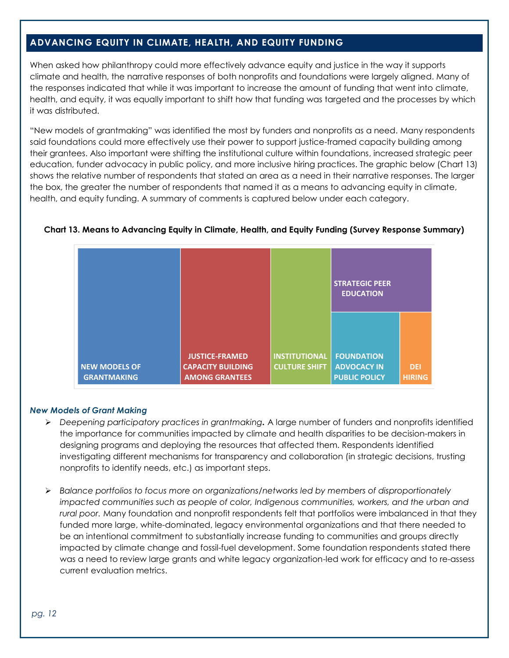# **ADVANCING EQUITY IN CLIMATE, HEALTH, AND EQUITY FUNDING**

When asked how philanthropy could more effectively advance equity and justice in the way it supports climate and health, the narrative responses of both nonprofits and foundations were largely aligned. Many of the responses indicated that while it was important to increase the amount of funding that went into climate, health, and equity, it was equally important to shift how that funding was targeted and the processes by which it was distributed.

"New models of grantmaking" was identified the most by funders and nonprofits as a need. Many respondents said foundations could more effectively use their power to support justice-framed capacity building among their grantees. Also important were shifting the institutional culture within foundations, increased strategic peer education, funder advocacy in public policy, and more inclusive hiring practices. The graphic below (Chart 13) shows the relative number of respondents that stated an area as a need in their narrative responses. The larger the box, the greater the number of respondents that named it as a means to advancing equity in climate, health, and equity funding. A summary of comments is captured below under each category.

|                                            |                                                                            |                                              | <b>STRATEGIC PEER</b><br><b>EDUCATION</b>                       |                             |
|--------------------------------------------|----------------------------------------------------------------------------|----------------------------------------------|-----------------------------------------------------------------|-----------------------------|
| <b>NEW MODELS OF</b><br><b>GRANTMAKING</b> | <b>JUSTICE-FRAMED</b><br><b>CAPACITY BUILDING</b><br><b>AMONG GRANTEES</b> | <b>INSTITUTIONAL</b><br><b>CULTURE SHIFT</b> | <b>FOUNDATION</b><br><b>ADVOCACY IN</b><br><b>PUBLIC POLICY</b> | <b>DEI</b><br><b>HIRING</b> |

#### **Chart 13. Means to Advancing Equity in Climate, Health, and Equity Funding (Survey Response Summary)**

#### *New Models of Grant Making*

- ➢ *Deepening participatory practices in grantmaking.* A large number of funders and nonprofits identified the importance for communities impacted by climate and health disparities to be decision-makers in designing programs and deploying the resources that affected them. Respondents identified investigating different mechanisms for transparency and collaboration (in strategic decisions, trusting nonprofits to identify needs, etc.) as important steps.
- ➢ *Balance portfolios to focus more on organizations/networks led by members of disproportionately impacted communities such as people of color, Indigenous communities, workers, and the urban and rural poor.* Many foundation and nonprofit respondents felt that portfolios were imbalanced in that they funded more large, white-dominated, legacy environmental organizations and that there needed to be an intentional commitment to substantially increase funding to communities and groups directly impacted by climate change and fossil-fuel development. Some foundation respondents stated there was a need to review large grants and white legacy organization-led work for efficacy and to re-assess current evaluation metrics.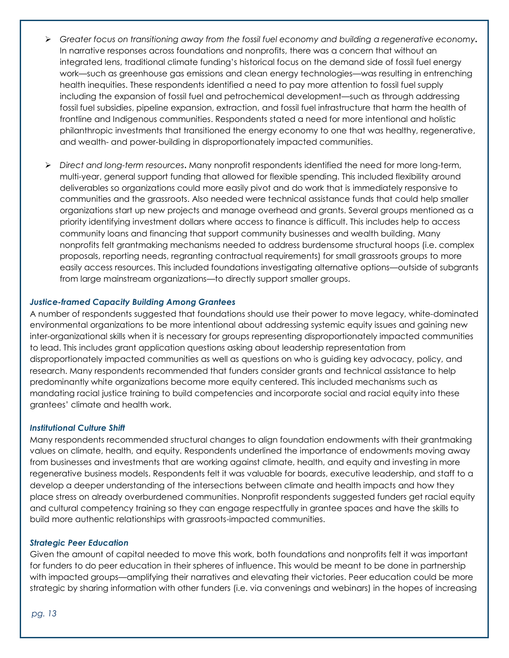- ➢ *Greater focus on transitioning away from the fossil fuel economy and building a regenerative economy.* In narrative responses across foundations and nonprofits, there was a concern that without an integrated lens, traditional climate funding's historical focus on the demand side of fossil fuel energy work—such as greenhouse gas emissions and clean energy technologies—was resulting in entrenching health inequities. These respondents identified a need to pay more attention to fossil fuel supply including the expansion of fossil fuel and petrochemical development—such as through addressing fossil fuel subsidies, pipeline expansion, extraction, and fossil fuel infrastructure that harm the health of frontline and Indigenous communities. Respondents stated a need for more intentional and holistic philanthropic investments that transitioned the energy economy to one that was healthy, regenerative, and wealth- and power-building in disproportionately impacted communities.
- ➢ *Direct and long-term resources***.** Many nonprofit respondents identified the need for more long-term, multi-year, general support funding that allowed for flexible spending. This included flexibility around deliverables so organizations could more easily pivot and do work that is immediately responsive to communities and the grassroots. Also needed were technical assistance funds that could help smaller organizations start up new projects and manage overhead and grants. Several groups mentioned as a priority identifying investment dollars where access to finance is difficult. This includes help to access community loans and financing that support community businesses and wealth building. Many nonprofits felt grantmaking mechanisms needed to address burdensome structural hoops (i.e. complex proposals, reporting needs, regranting contractual requirements) for small grassroots groups to more easily access resources. This included foundations investigating alternative options—outside of subgrants from large mainstream organizations—to directly support smaller groups.

#### *Justice-framed Capacity Building Among Grantees*

A number of respondents suggested that foundations should use their power to move legacy, white-dominated environmental organizations to be more intentional about addressing systemic equity issues and gaining new inter-organizational skills when it is necessary for groups representing disproportionately impacted communities to lead. This includes grant application questions asking about leadership representation from disproportionately impacted communities as well as questions on who is guiding key advocacy, policy, and research. Many respondents recommended that funders consider grants and technical assistance to help predominantly white organizations become more equity centered. This included mechanisms such as mandating racial justice training to build competencies and incorporate social and racial equity into these grantees' climate and health work.

#### *Institutional Culture Shift*

Many respondents recommended structural changes to align foundation endowments with their grantmaking values on climate, health, and equity. Respondents underlined the importance of endowments moving away from businesses and investments that are working against climate, health, and equity and investing in more regenerative business models. Respondents felt it was valuable for boards, executive leadership, and staff to a develop a deeper understanding of the intersections between climate and health impacts and how they place stress on already overburdened communities. Nonprofit respondents suggested funders get racial equity and cultural competency training so they can engage respectfully in grantee spaces and have the skills to build more authentic relationships with grassroots-impacted communities.

#### *Strategic Peer Education*

Given the amount of capital needed to move this work, both foundations and nonprofits felt it was important for funders to do peer education in their spheres of influence. This would be meant to be done in partnership with impacted groups—amplifying their narratives and elevating their victories. Peer education could be more strategic by sharing information with other funders (i.e. via convenings and webinars) in the hopes of increasing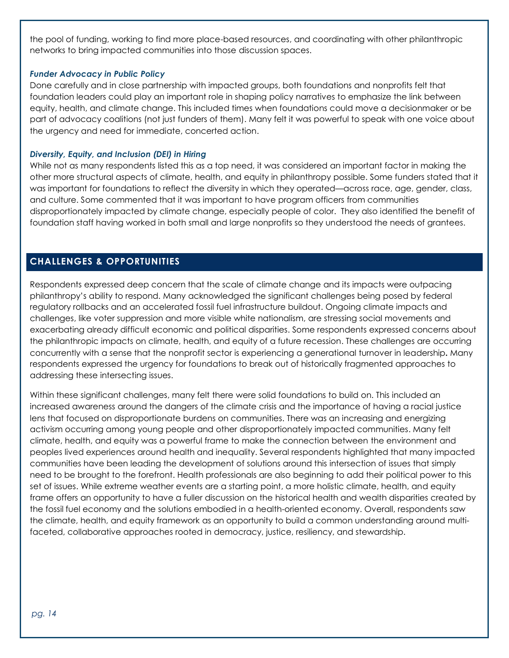the pool of funding, working to find more place-based resources, and coordinating with other philanthropic networks to bring impacted communities into those discussion spaces.

#### *Funder Advocacy in Public Policy*

Done carefully and in close partnership with impacted groups, both foundations and nonprofits felt that foundation leaders could play an important role in shaping policy narratives to emphasize the link between equity, health, and climate change. This included times when foundations could move a decisionmaker or be part of advocacy coalitions (not just funders of them). Many felt it was powerful to speak with one voice about the urgency and need for immediate, concerted action.

#### *Diversity, Equity, and Inclusion (DEI) in Hiring*

While not as many respondents listed this as a top need, it was considered an important factor in making the other more structural aspects of climate, health, and equity in philanthropy possible. Some funders stated that it was important for foundations to reflect the diversity in which they operated—across race, age, gender, class, and culture. Some commented that it was important to have program officers from communities disproportionately impacted by climate change, especially people of color. They also identified the benefit of foundation staff having worked in both small and large nonprofits so they understood the needs of grantees.

# **CHALLENGES & OPPORTUNITIES**

Respondents expressed deep concern that the scale of climate change and its impacts were outpacing philanthropy's ability to respond. Many acknowledged the significant challenges being posed by federal regulatory rollbacks and an accelerated fossil fuel infrastructure buildout. Ongoing climate impacts and challenges, like voter suppression and more visible white nationalism, are stressing social movements and exacerbating already difficult economic and political disparities. Some respondents expressed concerns about the philanthropic impacts on climate, health, and equity of a future recession. These challenges are occurring concurrently with a sense that the nonprofit sector is experiencing a generational turnover in leadership**.** Many respondents expressed the urgency for foundations to break out of historically fragmented approaches to addressing these intersecting issues.

Within these significant challenges, many felt there were solid foundations to build on. This included an increased awareness around the dangers of the climate crisis and the importance of having a racial justice lens that focused on disproportionate burdens on communities. There was an increasing and energizing activism occurring among young people and other disproportionately impacted communities. Many felt climate, health, and equity was a powerful frame to make the connection between the environment and peoples lived experiences around health and inequality. Several respondents highlighted that many impacted communities have been leading the development of solutions around this intersection of issues that simply need to be brought to the forefront. Health professionals are also beginning to add their political power to this set of issues. While extreme weather events are a starting point, a more holistic climate, health, and equity frame offers an opportunity to have a fuller discussion on the historical health and wealth disparities created by the fossil fuel economy and the solutions embodied in a health-oriented economy. Overall, respondents saw the climate, health, and equity framework as an opportunity to build a common understanding around multifaceted, collaborative approaches rooted in democracy, justice, resiliency, and stewardship.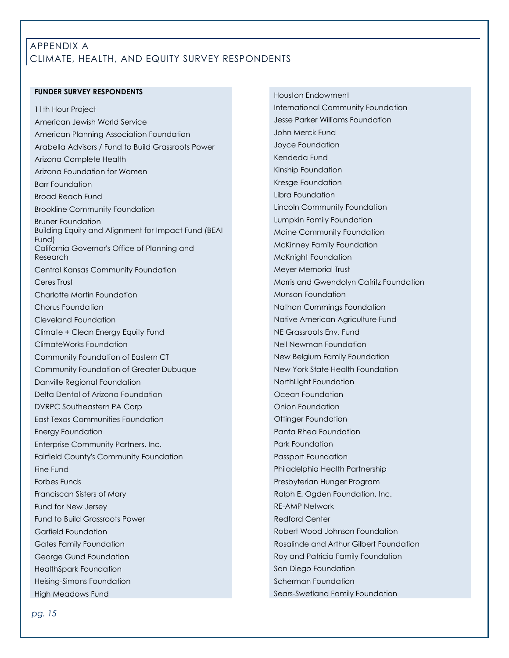# APPENDIX A CLIMATE, HEALTH, AND EQUITY SURVEY RESPONDENTS

#### **FUNDER SURVEY RESPONDENTS**

11th Hour Project American Jewish World Service American Planning Association Foundation Arabella Advisors / Fund to Build Grassroots Power Arizona Complete Health Arizona Foundation for Women Barr Foundation Broad Reach Fund Brookline Community Foundation Bruner Foundation Building Equity and Alignment for Impact Fund (BEAI Fund) California Governor's Office of Planning and Research Central Kansas Community Foundation Ceres Trust Charlotte Martin Foundation Chorus Foundation Cleveland Foundation Climate + Clean Energy Equity Fund ClimateWorks Foundation Community Foundation of Eastern CT Community Foundation of Greater Dubuque Danville Regional Foundation Delta Dental of Arizona Foundation DVRPC Southeastern PA Corp East Texas Communities Foundation Energy Foundation Enterprise Community Partners, Inc. Fairfield County's Community Foundation Fine Fund Forbes Funds Franciscan Sisters of Mary Fund for New Jersey Fund to Build Grassroots Power Garfield Foundation Gates Family Foundation George Gund Foundation HealthSpark Foundation Heising-Simons Foundation High Meadows Fund

Houston Endowment International Community Foundation Jesse Parker Williams Foundation John Merck Fund Joyce Foundation Kendeda Fund Kinship Foundation Kresge Foundation Libra Foundation Lincoln Community Foundation Lumpkin Family Foundation Maine Community Foundation McKinney Family Foundation McKnight Foundation Meyer Memorial Trust Morris and Gwendolyn Cafritz Foundation Munson Foundation Nathan Cummings Foundation Native American Agriculture Fund NE Grassroots Env. Fund Nell Newman Foundation New Belgium Family Foundation New York State Health Foundation NorthLight Foundation Ocean Foundation Onion Foundation Ottinger Foundation Panta Rhea Foundation Park Foundation Passport Foundation Philadelphia Health Partnership Presbyterian Hunger Program Ralph E. Ogden Foundation, Inc. RE-AMP Network Redford Center Robert Wood Johnson Foundation Rosalinde and Arthur Gilbert Foundation Roy and Patricia Family Foundation San Diego Foundation Scherman Foundation Sears-Swetland Family Foundation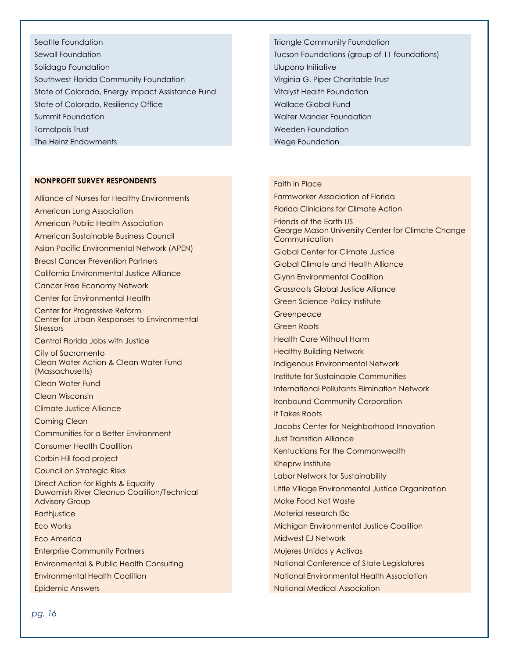Seattle Foundation Sewall Foundation Solidago Foundation Southwest Florida Community Foundation State of Colorado, Energy Impact Assistance Fund State of Colorado, Resiliency Office Summit Foundation Tamalpais Trust The Heinz Endowments

#### **NONPROFIT SURVEY RESPONDENTS**

Alliance of Nurses for Healthy Environments American Lung Association American Public Health Association American Sustainable Business Council Asian Pacific Environmental Network (APEN) Breast Cancer Prevention Partners California Environmental Justice Alliance Cancer Free Economy Network Center for Environmental Health Center for Progressive Reform Center for Urban Responses to Environmental Stressors Central Florida Jobs with Justice City of Sacramento Clean Water Action & Clean Water Fund (Massachusetts) Clean Water Fund Clean Wisconsin Climate Justice Alliance Coming Clean Communities for a Better Environment Consumer Health Coalition Corbin Hill food project Council on Strategic Risks Direct Action for Rights & Equality Duwamish River Cleanup Coalition/Technical Advisory Group **Earthjustice** Eco Works Eco America Enterprise Community Partners Environmental & Public Health Consulting Environmental Health Coalition Epidemic Answers

Triangle Community Foundation Tucson Foundations (group of 11 foundations) Ulupono Initiative Virginia G. Piper Charitable Trust Vitalyst Health Foundation Wallace Global Fund Walter Mander Foundation Weeden Foundation Wege Foundation

#### Faith in Place

Farmworker Association of Florida Florida Clinicians for Climate Action Friends of the Earth US George Mason University Center for Climate Change Communication Global Center for Climate Justice Global Climate and Health Alliance Glynn Environmental Coalition Grassroots Global Justice Alliance Green Science Policy Institute Greenpeace Green Roots Health Care Without Harm Healthy Building Network Indigenous Environmental Network Institute for Sustainable Communities International Pollutants Elimination Network Ironbound Community Corporation It Takes Roots Jacobs Center for Neighborhood Innovation Just Transition Alliance Kentuckians For the Commonwealth Kheprw Institute Labor Network for Sustainability Little Village Environmental Justice Organization Make Food Not Waste Material research l3c Michigan Environmental Justice Coalition Midwest EJ Network Mujeres Unidas y Activas National Conference of State Legislatures National Environmental Health Association National Medical Association